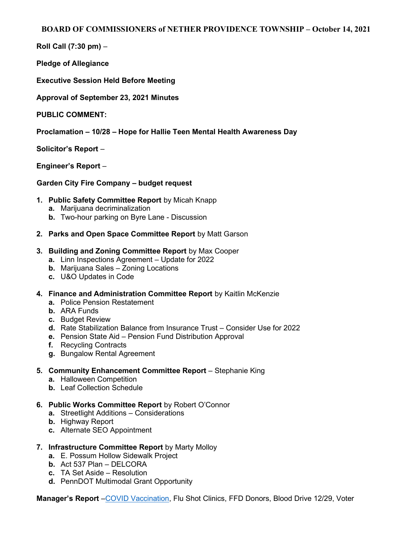## BOARD OF COMMISSIONERS of NETHER PROVIDENCE TOWNSHIP – October 14, 2021

Roll Call (7:30 pm) –

Pledge of Allegiance

Executive Session Held Before Meeting

Approval of September 23, 2021 Minutes

PUBLIC COMMENT:

Proclamation – 10/28 – Hope for Hallie Teen Mental Health Awareness Day

Solicitor's Report –

Engineer's Report –

## Garden City Fire Company – budget request

- 1. Public Safety Committee Report by Micah Knapp
	- a. Marijuana decriminalization
	- **b.** Two-hour parking on Byre Lane Discussion
- 2. Parks and Open Space Committee Report by Matt Garson

## 3. Building and Zoning Committee Report by Max Cooper

- a. Linn Inspections Agreement Update for 2022
- b. Marijuana Sales Zoning Locations
- c. U&O Updates in Code
- 4. Finance and Administration Committee Report by Kaitlin McKenzie
	- a. Police Pension Restatement
	- b. ARA Funds
	- c. Budget Review
	- d. Rate Stabilization Balance from Insurance Trust Consider Use for 2022
	- e. Pension State Aid Pension Fund Distribution Approval
	- f. Recycling Contracts
	- g. Bungalow Rental Agreement
- 5. Community Enhancement Committee Report Stephanie King
	- a. Halloween Competition
	- b. Leaf Collection Schedule
- 6. Public Works Committee Report by Robert O'Connor
	- a. Streetlight Additions Considerations
	- b. Highway Report
	- c. Alternate SEO Appointment
- 7. Infrastructure Committee Report by Marty Molloy
	- a. E. Possum Hollow Sidewalk Project
	- b. Act 537 Plan DELCORA
	- c. TA Set Aside Resolution
	- d. PennDOT Multimodal Grant Opportunity

Manager's Report –COVID Vaccination, Flu Shot Clinics, FFD Donors, Blood Drive 12/29, Voter